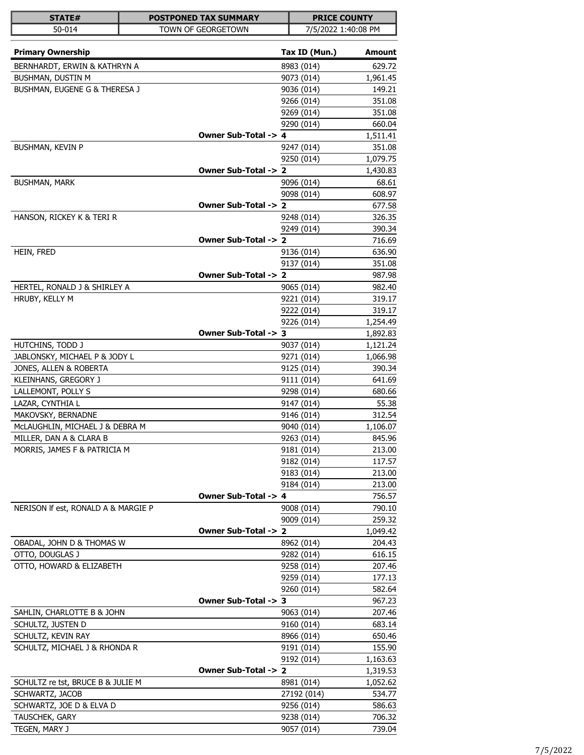| <b>STATE#</b>                       | <b>POSTPONED TAX SUMMARY</b> |                          | <b>PRICE COUNTY</b> |
|-------------------------------------|------------------------------|--------------------------|---------------------|
| 50-014                              | TOWN OF GEORGETOWN           |                          | 7/5/2022 1:40:08 PM |
| <b>Primary Ownership</b>            |                              | Tax ID (Mun.)            | Amount              |
| BERNHARDT, ERWIN & KATHRYN A        |                              | 8983 (014)               | 629.72              |
| BUSHMAN, DUSTIN M                   |                              | 9073 (014)               | 1,961.45            |
| BUSHMAN, EUGENE G & THERESA J       |                              | 9036 (014)               | 149.21              |
|                                     |                              | 9266 (014)               | 351.08              |
|                                     |                              | 9269 (014)               | 351.08              |
|                                     |                              | 9290 (014)               | 660.04              |
|                                     | Owner Sub-Total -> 4         |                          | 1,511.41            |
| BUSHMAN, KEVIN P                    |                              | 9247 (014)               | 351.08              |
|                                     |                              | 9250 (014)               | 1,079.75            |
|                                     | Owner Sub-Total -> 2         |                          | 1,430.83            |
| <b>BUSHMAN, MARK</b>                |                              | 9096 (014)               | 68.61               |
|                                     | Owner Sub-Total -> 2         | 9098 (014)               | 608.97              |
|                                     |                              |                          | 677.58              |
| HANSON, RICKEY K & TERI R           |                              | 9248 (014)<br>9249 (014) | 326.35<br>390.34    |
|                                     | Owner Sub-Total -> 2         |                          | 716.69              |
| HEIN, FRED                          |                              | 9136 (014)               | 636.90              |
|                                     |                              | 9137 (014)               | 351.08              |
|                                     | Owner Sub-Total -> 2         |                          | 987.98              |
| HERTEL, RONALD J & SHIRLEY A        |                              | 9065 (014)               | 982.40              |
| HRUBY, KELLY M                      |                              | 9221 (014)               | 319.17              |
|                                     |                              | 9222 (014)               | 319.17              |
|                                     |                              | 9226 (014)               | 1,254.49            |
|                                     | Owner Sub-Total -> 3         |                          | 1,892.83            |
| HUTCHINS, TODD J                    |                              | 9037 (014)               | 1,121.24            |
| JABLONSKY, MICHAEL P & JODY L       |                              | 9271 (014)               | 1,066.98            |
| JONES, ALLEN & ROBERTA              |                              | 9125 (014)               | 390.34              |
| KLEINHANS, GREGORY J                |                              | 9111 (014)               | 641.69              |
| LALLEMONT, POLLY S                  |                              | 9298 (014)               | 680.66              |
| LAZAR, CYNTHIA L                    |                              | 9147 (014)               | 55.38               |
| MAKOVSKY, BERNADNE                  |                              | 9146 (014)               | 312.54              |
| McLAUGHLIN, MICHAEL J & DEBRA M     |                              | 9040 (014)               | 1,106.07            |
| MILLER, DAN A & CLARA B             |                              | 9263 (014)               | 845.96              |
| MORRIS, JAMES F & PATRICIA M        |                              | 9181 (014)               | 213.00              |
|                                     |                              | 9182 (014)               | 117.57              |
|                                     |                              | 9183 (014)               | 213.00              |
|                                     |                              | 9184 (014)               | 213.00              |
|                                     | Owner Sub-Total -> 4         |                          | 756.57              |
| NERISON If est, RONALD A & MARGIE P |                              | 9008 (014)               | 790.10              |
|                                     | Owner Sub-Total -> 2         | 9009 (014)               | 259.32<br>1,049.42  |
| OBADAL, JOHN D & THOMAS W           |                              | 8962 (014)               | 204.43              |
| OTTO, DOUGLAS J                     |                              | 9282 (014)               | 616.15              |
| OTTO, HOWARD & ELIZABETH            |                              | 9258 (014)               | 207.46              |
|                                     |                              | 9259 (014)               | 177.13              |
|                                     |                              | 9260 (014)               | 582.64              |
|                                     | Owner Sub-Total -> 3         |                          | 967.23              |
| SAHLIN, CHARLOTTE B & JOHN          |                              | 9063 (014)               | 207.46              |
| SCHULTZ, JUSTEN D                   |                              | 9160 (014)               | 683.14              |
| SCHULTZ, KEVIN RAY                  |                              | 8966 (014)               | 650.46              |
| SCHULTZ, MICHAEL J & RHONDA R       |                              | 9191 (014)               | 155.90              |
|                                     |                              | 9192 (014)               | 1,163.63            |
|                                     | Owner Sub-Total -> 2         |                          | 1,319.53            |
| SCHULTZ re tst, BRUCE B & JULIE M   |                              | 8981 (014)               | 1,052.62            |
| SCHWARTZ, JACOB                     |                              | 27192 (014)              | 534.77              |
| SCHWARTZ, JOE D & ELVA D            |                              | 9256 (014)               | 586.63              |
| TAUSCHEK, GARY                      |                              | 9238 (014)               | 706.32              |
| TEGEN, MARY J                       |                              | 9057 (014)               | 739.04              |